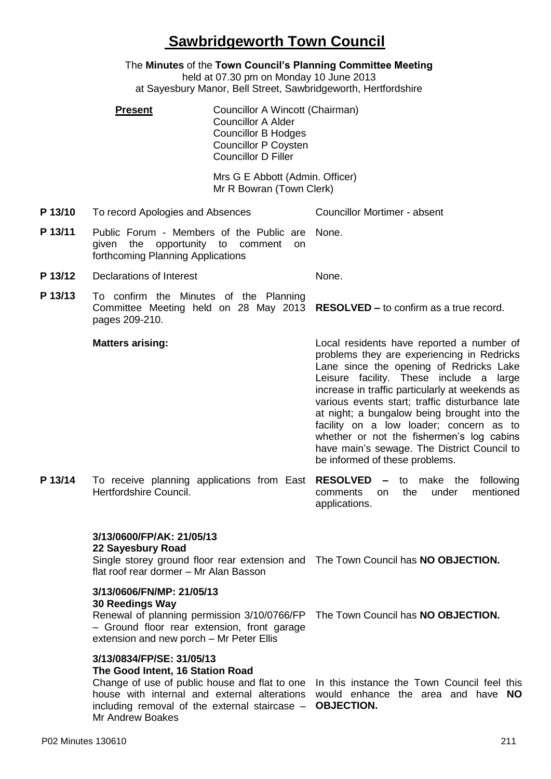# **Sawbridgeworth Town Council**

The **Minutes** of the **Town Council's Planning Committee Meeting** held at 07.30 pm on Monday 10 June 2013 at Sayesbury Manor, Bell Street, Sawbridgeworth, Hertfordshire

**Present Councillor A Wincott (Chairman)** Councillor A Alder Councillor B Hodges Councillor P Coysten Councillor D Filler

> Mrs G E Abbott (Admin. Officer) Mr R Bowran (Town Clerk)

**P 13/10** To record Apologies and Absences Councillor Mortimer - absent

- **P 13/11** Public Forum Members of the Public are given the opportunity to comment on forthcoming Planning Applications None.
- **P 13/12** Declarations of Interest None.
- **P 13/13** To confirm the Minutes of the Planning Committee Meeting held on 28 May 2013 **RESOLVED –** to confirm as a true record. pages 209-210.

#### **Matters arising:**

Local residents have reported a number of problems they are experiencing in Redricks Lane since the opening of Redricks Lake Leisure facility. These include a large increase in traffic particularly at weekends as various events start; traffic disturbance late at night; a bungalow being brought into the facility on a low loader; concern as to whether or not the fishermen's log cabins have main's sewage. The District Council to be informed of these problems.

**P 13/14** To receive planning applications from East **RESOLVED –** to make the following Hertfordshire Council. comments on the under mentioned applications.

## **3/13/0600/FP/AK: 21/05/13**

**22 Sayesbury Road**

Single storey ground floor rear extension and The Town Council has **NO OBJECTION.** flat roof rear dormer – Mr Alan Basson

## **3/13/0606/FN/MP: 21/05/13**

### **30 Reedings Way**

Renewal of planning permission 3/10/0766/FP The Town Council has **NO OBJECTION.** – Ground floor rear extension, front garage extension and new porch – Mr Peter Ellis

### **3/13/0834/FP/SE: 31/05/13**

### **The Good Intent, 16 Station Road**

Change of use of public house and flat to one In this instance the Town Council feel this house with internal and external alterations would enhance the area and have **NO**  including removal of the external staircase – **OBJECTION.**Mr Andrew Boakes